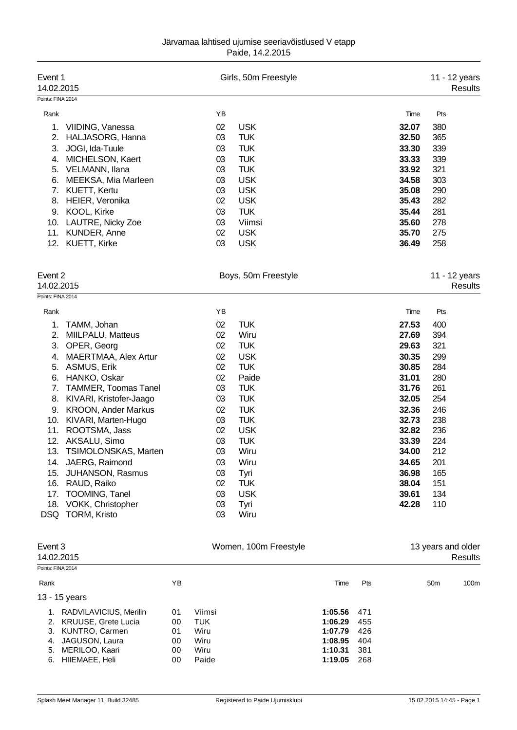## Järvamaa lahtised ujumise seeriavõistlused V etapp Paide, 14.2.2015

| Event 1<br>14.02.2015 |                                                   |          | Girls, 50m Freestyle     |                | 11 - 12 years<br>Results        |
|-----------------------|---------------------------------------------------|----------|--------------------------|----------------|---------------------------------|
| Points: FINA 2014     |                                                   |          |                          |                |                                 |
| Rank                  |                                                   | ΥB       |                          | Time           | Pts                             |
| 1.                    | VIIDING, Vanessa                                  | 02       | <b>USK</b>               | 32.07          | 380                             |
| 2.                    | HALJASORG, Hanna                                  | 03       | <b>TUK</b>               | 32.50          | 365                             |
| 3.                    | JOGI, Ida-Tuule                                   | 03       | <b>TUK</b>               | 33.30          | 339                             |
| 4.                    | MICHELSON, Kaert                                  | 03       | <b>TUK</b>               | 33.33          | 339                             |
| 5.                    | VELMANN, Ilana                                    | 03       | <b>TUK</b>               | 33.92          | 321                             |
| 6.                    | MEEKSA, Mia Marleen                               | 03       | <b>USK</b>               | 34.58          | 303                             |
| 7.                    | <b>KUETT, Kertu</b>                               | 03       | <b>USK</b>               | 35.08          | 290                             |
| 8.                    | HEIER, Veronika                                   | 02       | <b>USK</b>               | 35.43          | 282                             |
| 9.                    | KOOL, Kirke                                       | 03       | <b>TUK</b>               | 35.44          | 281                             |
| 10.                   | LAUTRE, Nicky Zoe                                 | 03       | Viimsi                   | 35.60          | 278                             |
| 11.                   | KUNDER, Anne                                      | 02       | <b>USK</b>               | 35.70          | 275                             |
| 12.                   | KUETT, Kirke                                      | 03       | <b>USK</b>               | 36.49          | 258                             |
| Event 2<br>14.02.2015 |                                                   |          | Boys, 50m Freestyle      |                | 11 - 12 years<br><b>Results</b> |
| Points: FINA 2014     |                                                   |          |                          |                |                                 |
| Rank                  |                                                   | YB       |                          | Time           | Pts                             |
|                       |                                                   |          |                          |                |                                 |
| 1.                    | TAMM, Johan                                       | 02       | <b>TUK</b>               | 27.53          | 400                             |
| 2.                    | MIILPALU, Matteus                                 | 02       | Wiru                     | 27.69          | 394                             |
| 3.                    | OPER, Georg                                       | 02       | <b>TUK</b>               | 29.63          | 321                             |
| 4.                    | MAERTMAA, Alex Artur                              | 02       | <b>USK</b>               | 30.35          | 299                             |
| 5.                    | ASMUS, Erik                                       | 02       | <b>TUK</b>               | 30.85          | 284                             |
| 6.                    | HANKO, Oskar                                      | 02       | Paide                    | 31.01          | 280                             |
| 7.                    | <b>TAMMER, Toomas Tanel</b>                       | 03       | <b>TUK</b>               | 31.76          | 261                             |
| 8.                    | KIVARI, Kristofer-Jaago                           | 03       | <b>TUK</b>               | 32.05          | 254                             |
| 9.                    | <b>KROON, Ander Markus</b><br>KIVARI, Marten-Hugo | 02<br>03 | <b>TUK</b><br><b>TUK</b> | 32.36<br>32.73 | 246<br>238                      |
| 10.<br>11.            | ROOTSMA, Jass                                     | 02       | <b>USK</b>               | 32.82          | 236                             |
| 12.                   | AKSALU, Simo                                      | 03       | <b>TUK</b>               | 33.39          | 224                             |
|                       | 13. TSIMOLONSKAS, Marten                          | 03       | Wiru                     | 34.00          | 212                             |
| 14.                   | JAERG, Raimond                                    | 03       | Wiru                     | 34.65          | 201                             |
| 15.                   | <b>JUHANSON, Rasmus</b>                           | 03       | Tyri                     | 36.98          | 165                             |
|                       | 16. RAUD, Raiko                                   | 02       | <b>TUK</b>               | 38.04          | 151                             |
| 17.                   | TOOMING, Tanel                                    | 03       | <b>USK</b>               | 39.61          | 134                             |
|                       | 18. VOKK, Christopher                             | 03       | Tyri                     | 42.28          | 110                             |
|                       | DSQ TORM, Kristo                                  | 03       | Wiru                     |                |                                 |
| Event 3               |                                                   |          | Women, 100m Freestyle    |                | 13 years and older              |

| Event 3<br>14.02.2015 |                        | Women, 100m Freestyle |            |         | 13 years and older | Results         |      |
|-----------------------|------------------------|-----------------------|------------|---------|--------------------|-----------------|------|
|                       | Points: FINA 2014      |                       |            |         |                    |                 |      |
| Rank                  |                        | ΥB                    |            | Time    | <b>Pts</b>         | 50 <sub>m</sub> | 100m |
|                       | 13 - 15 years          |                       |            |         |                    |                 |      |
| 1.                    | RADVILAVICIUS, Merilin | 01                    | Viimsi     | 1:05.56 | - 471              |                 |      |
|                       | 2. KRUUSE, Grete Lucia | 00                    | <b>TUK</b> | 1:06.29 | 455                |                 |      |
| 3.                    | KUNTRO, Carmen         | 01                    | Wiru       | 1:07.79 | 426                |                 |      |
| 4.                    | JAGUSON, Laura         | 00                    | Wiru       | 1:08.95 | 404                |                 |      |
| 5.                    | MERILOO, Kaari         | 00                    | Wiru       | 1:10.31 | 381                |                 |      |
| 6.                    | HIIEMAEE, Heli         | 00                    | Paide      | 1:19.05 | 268                |                 |      |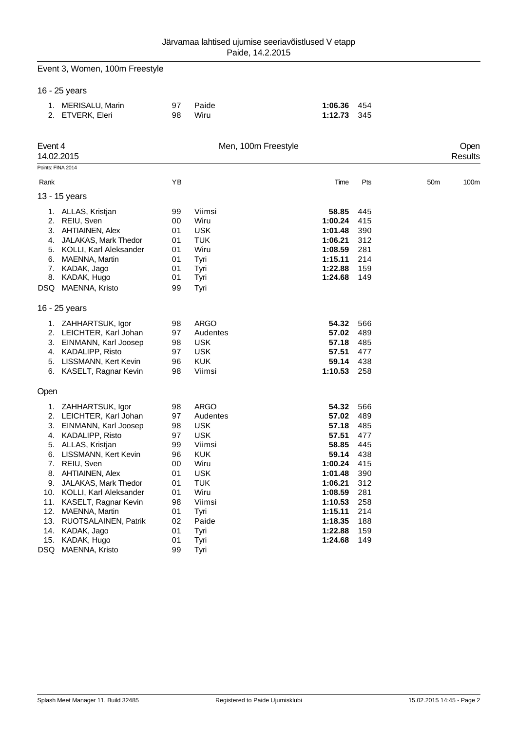|                                                  | Event 3, Women, 100m Freestyle                                                                                                                                                                                                                                                                                        |                                                                                  |                                                                                                                                                            |                                                                                                                                            |                                                                                                |                 |                  |
|--------------------------------------------------|-----------------------------------------------------------------------------------------------------------------------------------------------------------------------------------------------------------------------------------------------------------------------------------------------------------------------|----------------------------------------------------------------------------------|------------------------------------------------------------------------------------------------------------------------------------------------------------|--------------------------------------------------------------------------------------------------------------------------------------------|------------------------------------------------------------------------------------------------|-----------------|------------------|
|                                                  | 16 - 25 years                                                                                                                                                                                                                                                                                                         |                                                                                  |                                                                                                                                                            |                                                                                                                                            |                                                                                                |                 |                  |
|                                                  | 1. MERISALU, Marin<br>2. ETVERK, Eleri                                                                                                                                                                                                                                                                                | 97<br>98                                                                         | Paide<br>Wiru                                                                                                                                              | 1:06.36<br>1:12.73                                                                                                                         | 454<br>345                                                                                     |                 |                  |
| Event 4                                          | 14.02.2015                                                                                                                                                                                                                                                                                                            |                                                                                  | Men, 100m Freestyle                                                                                                                                        |                                                                                                                                            |                                                                                                |                 | Open<br>Results  |
|                                                  | Points: FINA 2014                                                                                                                                                                                                                                                                                                     |                                                                                  |                                                                                                                                                            |                                                                                                                                            |                                                                                                |                 |                  |
| Rank                                             |                                                                                                                                                                                                                                                                                                                       | YB                                                                               |                                                                                                                                                            | Time                                                                                                                                       | Pts                                                                                            | 50 <sub>m</sub> | 100 <sub>m</sub> |
|                                                  | 13 - 15 years                                                                                                                                                                                                                                                                                                         |                                                                                  |                                                                                                                                                            |                                                                                                                                            |                                                                                                |                 |                  |
| 8.                                               | 1. ALLAS, Kristjan<br>2. REIU, Sven<br>3. AHTIAINEN, Alex<br>4. JALAKAS, Mark Thedor<br>5. KOLLI, Karl Aleksander<br>6. MAENNA, Martin<br>7. KADAK, Jago<br>KADAK, Hugo<br>DSQ MAENNA, Kristo                                                                                                                         | 99<br>00<br>01<br>01<br>01<br>01<br>01<br>01<br>99                               | Viimsi<br>Wiru<br><b>USK</b><br><b>TUK</b><br>Wiru<br>Tyri<br>Tyri<br>Tyri<br>Tyri                                                                         | 58.85<br>1:00.24<br>1:01.48<br>1:06.21<br>1:08.59<br>1:15.11<br>1:22.88<br>1:24.68                                                         | 445<br>415<br>390<br>312<br>281<br>214<br>159<br>149                                           |                 |                  |
|                                                  | 16 - 25 years                                                                                                                                                                                                                                                                                                         |                                                                                  |                                                                                                                                                            |                                                                                                                                            |                                                                                                |                 |                  |
|                                                  | 1. ZAHHARTSUK, Igor<br>2. LEICHTER, Karl Johan<br>3. EINMANN, Karl Joosep<br>4. KADALIPP, Risto<br>5. LISSMANN, Kert Kevin<br>6. KASELT, Ragnar Kevin                                                                                                                                                                 | 98<br>97<br>98<br>97<br>96<br>98                                                 | <b>ARGO</b><br>Audentes<br><b>USK</b><br><b>USK</b><br><b>KUK</b><br>Viimsi                                                                                | 54.32<br>57.02<br>57.18<br>57.51<br>59.14<br>1:10.53                                                                                       | 566<br>489<br>485<br>477<br>438<br>258                                                         |                 |                  |
| Open                                             |                                                                                                                                                                                                                                                                                                                       |                                                                                  |                                                                                                                                                            |                                                                                                                                            |                                                                                                |                 |                  |
| 1.<br>6.<br>7.<br>9.<br>10.<br>11.<br>12.<br>13. | ZAHHARTSUK, Igor<br>2. LEICHTER, Karl Johan<br>3. EINMANN, Karl Joosep<br>4. KADALIPP, Risto<br>5. ALLAS, Kristjan<br>LISSMANN, Kert Kevin<br>REIU, Sven<br>8. AHTIAINEN, Alex<br>JALAKAS, Mark Thedor<br>KOLLI, Karl Aleksander<br>KASELT, Ragnar Kevin<br>MAENNA, Martin<br>RUOTSALAINEN, Patrik<br>14. KADAK, Jago | 98<br>97<br>98<br>97<br>99<br>96<br>00<br>01<br>01<br>01<br>98<br>01<br>02<br>01 | <b>ARGO</b><br>Audentes<br><b>USK</b><br><b>USK</b><br>Viimsi<br><b>KUK</b><br>Wiru<br><b>USK</b><br><b>TUK</b><br>Wiru<br>Viimsi<br>Tyri<br>Paide<br>Tyri | 54.32<br>57.02<br>57.18<br>57.51<br>58.85<br>59.14<br>1:00.24<br>1:01.48<br>1:06.21<br>1:08.59<br>1:10.53<br>1:15.11<br>1:18.35<br>1:22.88 | 566<br>489<br>485<br>477<br>445<br>438<br>415<br>390<br>312<br>281<br>258<br>214<br>188<br>159 |                 |                  |
| 15.<br>DSQ                                       | KADAK, Hugo<br>MAENNA, Kristo                                                                                                                                                                                                                                                                                         | 01<br>99                                                                         | Tyri<br>Tyri                                                                                                                                               | 1:24.68                                                                                                                                    | 149                                                                                            |                 |                  |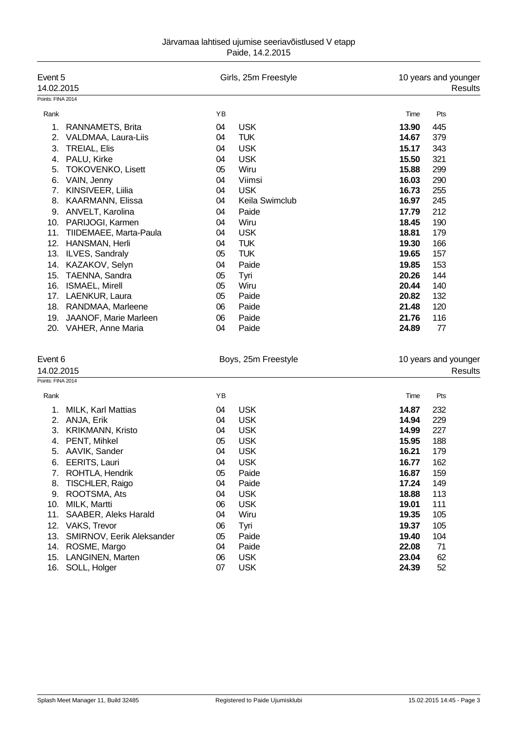| Event 5                        |    | Girls, 25m Freestyle |       | 10 years and younger |
|--------------------------------|----|----------------------|-------|----------------------|
| 14.02.2015                     |    |                      |       | Results              |
| Points: FINA 2014              |    |                      |       |                      |
| Rank                           | YB |                      | Time  | Pts                  |
| RANNAMETS, Brita<br>1.         | 04 | <b>USK</b>           | 13.90 | 445                  |
| VALDMAA, Laura-Liis<br>2.      | 04 | <b>TUK</b>           | 14.67 | 379                  |
| 3.<br><b>TREIAL, Elis</b>      | 04 | <b>USK</b>           | 15.17 | 343                  |
| PALU, Kirke<br>4.              | 04 | <b>USK</b>           | 15.50 | 321                  |
| 5.<br><b>TOKOVENKO, Lisett</b> | 05 | Wiru                 | 15.88 | 299                  |
| VAIN, Jenny<br>6.              | 04 | Viimsi               | 16.03 | 290                  |
| KINSIVEER, Liilia<br>7.        | 04 | <b>USK</b>           | 16.73 | 255                  |
| 8.<br>KAARMANN, Elissa         | 04 | Keila Swimclub       | 16.97 | 245                  |
| ANVELT, Karolina<br>9.         | 04 | Paide                | 17.79 | 212                  |
| PARIJOGI, Karmen<br>10.        | 04 | Wiru                 | 18.45 | 190                  |
| 11.<br>TIIDEMAEE, Marta-Paula  | 04 | <b>USK</b>           | 18.81 | 179                  |
| 12.<br>HANSMAN, Herli          | 04 | <b>TUK</b>           | 19.30 | 166                  |
| 13.<br>ILVES, Sandraly         | 05 | <b>TUK</b>           | 19.65 | 157                  |
| KAZAKOV, Selyn<br>14.          | 04 | Paide                | 19.85 | 153                  |
| TAENNA, Sandra<br>15.          | 05 | Tyri                 | 20.26 | 144                  |
| 16.<br>ISMAEL, Mirell          | 05 | Wiru                 | 20.44 | 140                  |
| 17.<br>LAENKUR, Laura          | 05 | Paide                | 20.82 | 132                  |
| 18.<br>RANDMAA, Marleene       | 06 | Paide                | 21.48 | 120                  |
| JAANOF, Marie Marleen<br>19.   | 06 | Paide                | 21.76 | 116                  |
| 20.<br>VAHER, Anne Maria       | 04 | Paide                | 24.89 | 77                   |

| Event 6           |                                  |    | Boys, 25m Freestyle | 10 years and younger |         |  |
|-------------------|----------------------------------|----|---------------------|----------------------|---------|--|
| 14.02.2015        |                                  |    |                     |                      | Results |  |
| Points: FINA 2014 |                                  |    |                     |                      |         |  |
| Rank              |                                  | ΥB |                     | Time                 | Pts     |  |
| 1.                | <b>MILK, Karl Mattias</b>        | 04 | <b>USK</b>          | 14.87                | 232     |  |
| 2.                | ANJA, Erik                       | 04 | <b>USK</b>          | 14.94                | 229     |  |
| 3.                | <b>KRIKMANN, Kristo</b>          | 04 | <b>USK</b>          | 14.99                | 227     |  |
| 4.                | PENT, Mihkel                     | 05 | <b>USK</b>          | 15.95                | 188     |  |
| 5.                | AAVIK, Sander                    | 04 | <b>USK</b>          | 16.21                | 179     |  |
| 6.                | EERITS, Lauri                    | 04 | <b>USK</b>          | 16.77                | 162     |  |
| 7.                | ROHTLA, Hendrik                  | 05 | Paide               | 16.87                | 159     |  |
| 8.                | TISCHLER, Raigo                  | 04 | Paide               | 17.24                | 149     |  |
| 9.                | ROOTSMA, Ats                     | 04 | <b>USK</b>          | 18.88                | 113     |  |
| 10.               | MILK, Martti                     | 06 | <b>USK</b>          | 19.01                | 111     |  |
| 11.               | SAABER, Aleks Harald             | 04 | Wiru                | 19.35                | 105     |  |
| 12.               | VAKS, Trevor                     | 06 | Tyri                | 19.37                | 105     |  |
| 13.               | <b>SMIRNOV, Eerik Aleksander</b> | 05 | Paide               | 19.40                | 104     |  |
| 14.               | ROSME, Margo                     | 04 | Paide               | 22.08                | 71      |  |
| 15.               | LANGINEN, Marten                 | 06 | <b>USK</b>          | 23.04                | 62      |  |
| 16.               | SOLL, Holger                     | 07 | <b>USK</b>          | 24.39                | 52      |  |
|                   |                                  |    |                     |                      |         |  |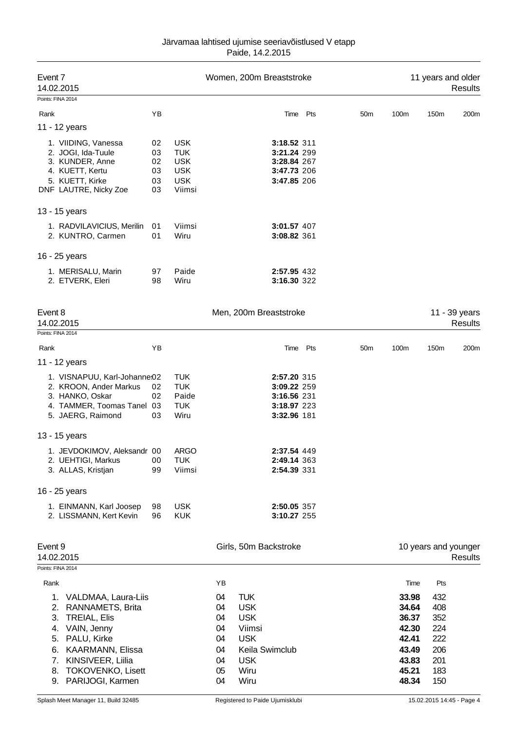| Järvamaa lahtised ujumise seeriavõistlused V etapp |
|----------------------------------------------------|
| Paide, 14.2.2015                                   |

| Event 7<br>14.02.2015                                                                                                                                                                                                                     |                                  |                                                                              |                                                          |                                                                                              | Women, 200m Breaststroke                                                |          |                 |                                                                                       |                                                                    | 11 years and older<br>Results   |
|-------------------------------------------------------------------------------------------------------------------------------------------------------------------------------------------------------------------------------------------|----------------------------------|------------------------------------------------------------------------------|----------------------------------------------------------|----------------------------------------------------------------------------------------------|-------------------------------------------------------------------------|----------|-----------------|---------------------------------------------------------------------------------------|--------------------------------------------------------------------|---------------------------------|
| Points: FINA 2014<br>Rank                                                                                                                                                                                                                 | ΥB                               |                                                                              |                                                          |                                                                                              |                                                                         | Time Pts | 50 <sub>m</sub> | 100m                                                                                  | 150m                                                               | 200m                            |
| 11 - 12 years                                                                                                                                                                                                                             |                                  |                                                                              |                                                          |                                                                                              |                                                                         |          |                 |                                                                                       |                                                                    |                                 |
| 1. VIIDING, Vanessa<br>2. JOGI, Ida-Tuule<br>3. KUNDER, Anne<br>4. KUETT, Kertu<br>5. KUETT, Kirke<br>DNF LAUTRE, Nicky Zoe                                                                                                               | 02<br>03<br>02<br>03<br>03<br>03 | <b>USK</b><br><b>TUK</b><br><b>USK</b><br><b>USK</b><br><b>USK</b><br>Viimsi |                                                          |                                                                                              | 3:18.52 311<br>3:21.24 299<br>3:28.84 267<br>3:47.73 206<br>3:47.85 206 |          |                 |                                                                                       |                                                                    |                                 |
| 13 - 15 years                                                                                                                                                                                                                             |                                  |                                                                              |                                                          |                                                                                              |                                                                         |          |                 |                                                                                       |                                                                    |                                 |
| 1. RADVILAVICIUS, Merilin<br>2. KUNTRO, Carmen                                                                                                                                                                                            | 01<br>01                         | Viimsi<br>Wiru                                                               |                                                          |                                                                                              | 3:01.57 407<br>3:08.82 361                                              |          |                 |                                                                                       |                                                                    |                                 |
| 16 - 25 years                                                                                                                                                                                                                             |                                  |                                                                              |                                                          |                                                                                              |                                                                         |          |                 |                                                                                       |                                                                    |                                 |
| 1. MERISALU, Marin<br>2. ETVERK, Eleri                                                                                                                                                                                                    | 97<br>98                         | Paide<br>Wiru                                                                |                                                          |                                                                                              | 2:57.95 432<br>3:16.30 322                                              |          |                 |                                                                                       |                                                                    |                                 |
| Event 8<br>14.02.2015                                                                                                                                                                                                                     |                                  |                                                                              |                                                          |                                                                                              | Men, 200m Breaststroke                                                  |          |                 |                                                                                       |                                                                    | 11 - 39 years<br><b>Results</b> |
| Points: FINA 2014<br>Rank                                                                                                                                                                                                                 | ΥB                               |                                                                              |                                                          |                                                                                              |                                                                         | Time Pts | 50 <sub>m</sub> | 100m                                                                                  | 150m                                                               | 200m                            |
| 11 - 12 years                                                                                                                                                                                                                             |                                  |                                                                              |                                                          |                                                                                              |                                                                         |          |                 |                                                                                       |                                                                    |                                 |
| 1. VISNAPUU, Karl-Johanne:02<br>2. KROON, Ander Markus<br>3. HANKO, Oskar<br>4. TAMMER, Toomas Tanel 03<br>5. JAERG, Raimond                                                                                                              | 02<br>02<br>03                   | <b>TUK</b><br><b>TUK</b><br>Paide<br><b>TUK</b><br>Wiru                      |                                                          |                                                                                              | 2:57.20 315<br>3:09.22 259<br>3:16.56 231<br>3:18.97 223<br>3:32.96 181 |          |                 |                                                                                       |                                                                    |                                 |
| 13 - 15 years                                                                                                                                                                                                                             |                                  |                                                                              |                                                          |                                                                                              |                                                                         |          |                 |                                                                                       |                                                                    |                                 |
| 1. JEVDOKIMOV, Aleksandr 00<br>2. UEHTIGI, Markus<br>3. ALLAS, Kristjan                                                                                                                                                                   | 00<br>99                         | <b>ARGO</b><br><b>TUK</b><br>Viimsi                                          |                                                          |                                                                                              | 2:37.54 449<br>2:49.14 363<br>2:54.39 331                               |          |                 |                                                                                       |                                                                    |                                 |
| 16 - 25 years                                                                                                                                                                                                                             |                                  |                                                                              |                                                          |                                                                                              |                                                                         |          |                 |                                                                                       |                                                                    |                                 |
| 1. EINMANN, Karl Joosep<br>2. LISSMANN, Kert Kevin                                                                                                                                                                                        | 98<br>96                         | <b>USK</b><br><b>KUK</b>                                                     |                                                          |                                                                                              | 2:50.05 357<br>3:10.27 255                                              |          |                 |                                                                                       |                                                                    |                                 |
| Event 9<br>14.02.2015                                                                                                                                                                                                                     |                                  |                                                                              |                                                          |                                                                                              | Girls, 50m Backstroke                                                   |          |                 |                                                                                       |                                                                    | 10 years and younger<br>Results |
| Points: FINA 2014                                                                                                                                                                                                                         |                                  |                                                                              |                                                          |                                                                                              |                                                                         |          |                 |                                                                                       |                                                                    |                                 |
| Rank<br>1. VALDMAA, Laura-Liis<br>RANNAMETS, Brita<br>2.<br><b>TREIAL, Elis</b><br>3.<br>VAIN, Jenny<br>4.<br>PALU, Kirke<br>5.<br>KAARMANN, Elissa<br>6.<br>KINSIVEER, Liilia<br>7.<br>TOKOVENKO, Lisett<br>8.<br>PARIJOGI, Karmen<br>9. |                                  |                                                                              | YB<br>04<br>04<br>04<br>04<br>04<br>04<br>04<br>05<br>04 | <b>TUK</b><br><b>USK</b><br><b>USK</b><br>Viimsi<br><b>USK</b><br><b>USK</b><br>Wiru<br>Wiru | Keila Swimclub                                                          |          |                 | Time<br>33.98<br>34.64<br>36.37<br>42.30<br>42.41<br>43.49<br>43.83<br>45.21<br>48.34 | Pts<br>432<br>408<br>352<br>224<br>222<br>206<br>201<br>183<br>150 |                                 |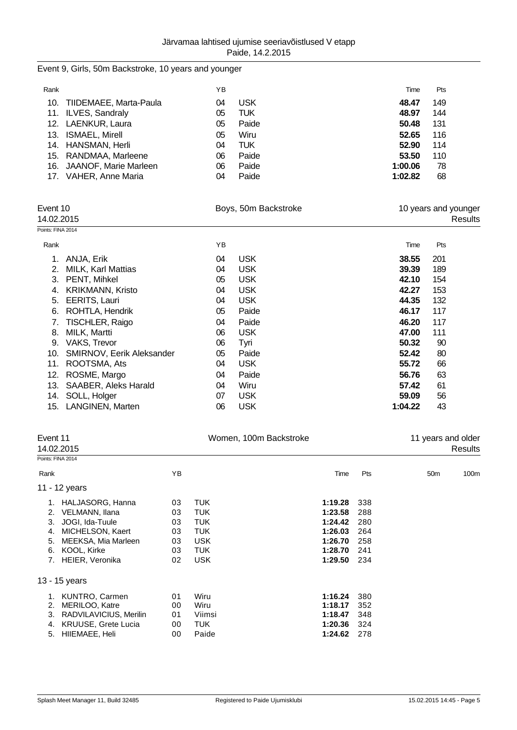## Event 9, Girls, 50m Backstroke, 10 years and younger

| Rank |                            | YΒ |            | Time    | <b>Pts</b> |
|------|----------------------------|----|------------|---------|------------|
|      | 10. TIIDEMAEE, Marta-Paula | 04 | <b>USK</b> | 48.47   | 149        |
|      | 11. ILVES, Sandraly        | 05 | TUK        | 48.97   | 144        |
|      | 12. LAENKUR, Laura         | 05 | Paide      | 50.48   | 131        |
| 13.  | <b>ISMAEL, Mirell</b>      | 05 | Wiru       | 52.65   | 116        |
|      | 14. HANSMAN, Herli         | 04 | TUK        | 52.90   | 114        |
|      | 15. RANDMAA, Marleene      | 06 | Paide      | 53.50   | 110        |
|      | 16. JAANOF, Marie Marleen  | 06 | Paide      | 1:00.06 | 78         |
| 17.  | VAHER, Anne Maria          | 04 | Paide      | 1:02.82 | 68         |

| Event 10<br>14.02.2015 |                                  |    | Boys, 50m Backstroke |         | 10 years and younger<br>Results |
|------------------------|----------------------------------|----|----------------------|---------|---------------------------------|
| Points: FINA 2014      |                                  |    |                      |         |                                 |
| Rank                   |                                  | YB |                      | Time    | Pts                             |
|                        | ANJA, Erik                       | 04 | <b>USK</b>           | 38.55   | 201                             |
| 2.                     | MILK, Karl Mattias               | 04 | <b>USK</b>           | 39.39   | 189                             |
| 3.                     | PENT, Mihkel                     | 05 | <b>USK</b>           | 42.10   | 154                             |
| 4.                     | <b>KRIKMANN, Kristo</b>          | 04 | <b>USK</b>           | 42.27   | 153                             |
| 5.                     | EERITS, Lauri                    | 04 | <b>USK</b>           | 44.35   | 132                             |
| 6.                     | ROHTLA, Hendrik                  | 05 | Paide                | 46.17   | 117                             |
| 7.                     | TISCHLER, Raigo                  | 04 | Paide                | 46.20   | 117                             |
| 8.                     | MILK, Martti                     | 06 | <b>USK</b>           | 47.00   | 111                             |
| 9.                     | VAKS, Trevor                     | 06 | Tyri                 | 50.32   | 90                              |
| 10.                    | <b>SMIRNOV, Eerik Aleksander</b> | 05 | Paide                | 52.42   | 80                              |
| 11.                    | ROOTSMA, Ats                     | 04 | <b>USK</b>           | 55.72   | 66                              |
| 12.                    | ROSME, Margo                     | 04 | Paide                | 56.76   | 63                              |
| 13.                    | SAABER, Aleks Harald             | 04 | Wiru                 | 57.42   | 61                              |
| 14.                    | SOLL, Holger                     | 07 | <b>USK</b>           | 59.09   | 56                              |
| 15.                    | LANGINEN, Marten                 | 06 | <b>USK</b>           | 1:04.22 | 43                              |
|                        |                                  |    |                      |         |                                 |

| Event 11          | 14.02.2015                 |    | Women, 100m Backstroke |         |     | 11 years and older | Results |
|-------------------|----------------------------|----|------------------------|---------|-----|--------------------|---------|
| Points: FINA 2014 |                            |    |                        |         |     |                    |         |
| Rank              |                            | YB |                        | Time    | Pts | 50 <sub>m</sub>    | 100m    |
|                   | 11 - 12 years              |    |                        |         |     |                    |         |
| 1.                | HALJASORG, Hanna           | 03 | <b>TUK</b>             | 1:19.28 | 338 |                    |         |
| 2.                | VELMANN, Ilana             | 03 | <b>TUK</b>             | 1:23.58 | 288 |                    |         |
| 3.                | JOGI, Ida-Tuule            | 03 | <b>TUK</b>             | 1:24.42 | 280 |                    |         |
| 4.                | MICHELSON, Kaert           | 03 | <b>TUK</b>             | 1:26.03 | 264 |                    |         |
| 5.                | MEEKSA, Mia Marleen        | 03 | <b>USK</b>             | 1:26.70 | 258 |                    |         |
| 6.                | KOOL, Kirke                | 03 | TUK.                   | 1:28.70 | 241 |                    |         |
| 7.                | HEIER, Veronika            | 02 | <b>USK</b>             | 1:29.50 | 234 |                    |         |
|                   | 13 - 15 years              |    |                        |         |     |                    |         |
| 1.                | KUNTRO, Carmen             | 01 | Wiru                   | 1:16.24 | 380 |                    |         |
| 2.                | MERILOO, Katre             | 00 | Wiru                   | 1:18.17 | 352 |                    |         |
| 3.                | RADVILAVICIUS, Merilin     | 01 | Viimsi                 | 1:18.47 | 348 |                    |         |
| 4.                | <b>KRUUSE, Grete Lucia</b> | 00 | <b>TUK</b>             | 1:20.36 | 324 |                    |         |
| 5.                | HIIEMAEE, Heli             | 00 | Paide                  | 1:24.62 | 278 |                    |         |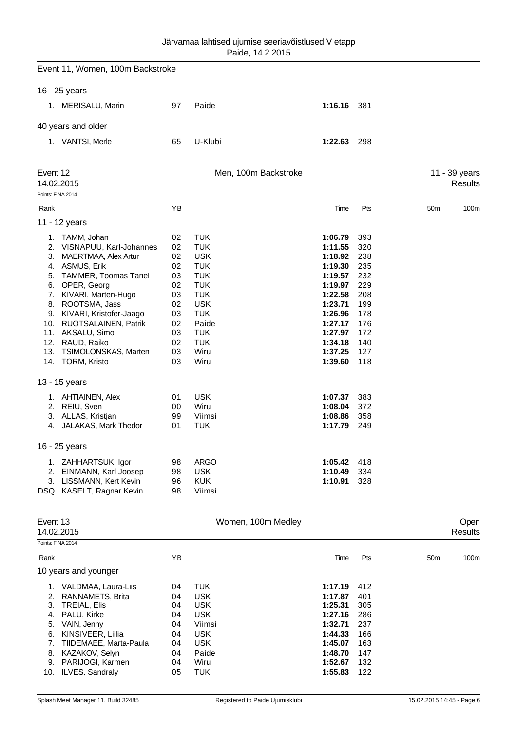|                                              | Event 11, Women, 100m Backstroke                                                                                                                                                                                                                                                                                                                                                                                                            |                                                                                                          |                                                                                                                                                                                                                               |                                                                                                                                                                                                    |                                                                                                                            |                         |
|----------------------------------------------|---------------------------------------------------------------------------------------------------------------------------------------------------------------------------------------------------------------------------------------------------------------------------------------------------------------------------------------------------------------------------------------------------------------------------------------------|----------------------------------------------------------------------------------------------------------|-------------------------------------------------------------------------------------------------------------------------------------------------------------------------------------------------------------------------------|----------------------------------------------------------------------------------------------------------------------------------------------------------------------------------------------------|----------------------------------------------------------------------------------------------------------------------------|-------------------------|
|                                              | 16 - 25 years                                                                                                                                                                                                                                                                                                                                                                                                                               |                                                                                                          |                                                                                                                                                                                                                               |                                                                                                                                                                                                    |                                                                                                                            |                         |
|                                              | 1. MERISALU, Marin                                                                                                                                                                                                                                                                                                                                                                                                                          | 97                                                                                                       | Paide                                                                                                                                                                                                                         | 1:16.16 381                                                                                                                                                                                        |                                                                                                                            |                         |
|                                              | 40 years and older                                                                                                                                                                                                                                                                                                                                                                                                                          |                                                                                                          |                                                                                                                                                                                                                               |                                                                                                                                                                                                    |                                                                                                                            |                         |
|                                              | 1. VANTSI, Merle                                                                                                                                                                                                                                                                                                                                                                                                                            | 65                                                                                                       | U-Klubi                                                                                                                                                                                                                       | 1:22.63                                                                                                                                                                                            | 298                                                                                                                        |                         |
| Event 12                                     |                                                                                                                                                                                                                                                                                                                                                                                                                                             |                                                                                                          | Men, 100m Backstroke                                                                                                                                                                                                          |                                                                                                                                                                                                    |                                                                                                                            | 11 - 39 years           |
|                                              | 14.02.2015                                                                                                                                                                                                                                                                                                                                                                                                                                  |                                                                                                          |                                                                                                                                                                                                                               |                                                                                                                                                                                                    |                                                                                                                            | Results                 |
| Points: FINA 2014                            |                                                                                                                                                                                                                                                                                                                                                                                                                                             |                                                                                                          |                                                                                                                                                                                                                               |                                                                                                                                                                                                    |                                                                                                                            |                         |
| Rank                                         |                                                                                                                                                                                                                                                                                                                                                                                                                                             | YB                                                                                                       |                                                                                                                                                                                                                               | Time                                                                                                                                                                                               | Pts                                                                                                                        | 50 <sub>m</sub><br>100m |
|                                              | 11 - 12 years                                                                                                                                                                                                                                                                                                                                                                                                                               |                                                                                                          |                                                                                                                                                                                                                               |                                                                                                                                                                                                    |                                                                                                                            |                         |
| 1.<br>3.<br>13.                              | TAMM, Johan<br>2. VISNAPUU, Karl-Johannes<br>MAERTMAA, Alex Artur<br>4. ASMUS, Erik<br>5. TAMMER, Toomas Tanel<br>6. OPER, Georg<br>7. KIVARI, Marten-Hugo<br>8. ROOTSMA, Jass<br>9. KIVARI, Kristofer-Jaago<br>10. RUOTSALAINEN, Patrik<br>11. AKSALU, Simo<br>12. RAUD, Raiko<br><b>TSIMOLONSKAS, Marten</b><br>14. TORM, Kristo<br>13 - 15 years<br>1. AHTIAINEN, Alex<br>2. REIU, Sven<br>3. ALLAS, Kristjan<br>4. JALAKAS, Mark Thedor | 02<br>02<br>02<br>02<br>03<br>02<br>03<br>02<br>03<br>02<br>03<br>02<br>03<br>03<br>01<br>00<br>99<br>01 | <b>TUK</b><br><b>TUK</b><br><b>USK</b><br><b>TUK</b><br><b>TUK</b><br><b>TUK</b><br><b>TUK</b><br><b>USK</b><br><b>TUK</b><br>Paide<br><b>TUK</b><br><b>TUK</b><br>Wiru<br>Wiru<br><b>USK</b><br>Wiru<br>Viimsi<br><b>TUK</b> | 1:06.79<br>1:11.55<br>1:18.92<br>1:19.30<br>1:19.57<br>1:19.97<br>1:22.58<br>1:23.71<br>1:26.96<br>1:27.17<br>1:27.97<br>1:34.18<br>1:37.25<br>1:39.60<br>1:07.37<br>1:08.04<br>1:08.86<br>1:17.79 | 393<br>320<br>238<br>235<br>232<br>229<br>208<br>199<br>178<br>176<br>172<br>140<br>127<br>118<br>383<br>372<br>358<br>249 |                         |
|                                              | 16 - 25 years                                                                                                                                                                                                                                                                                                                                                                                                                               |                                                                                                          |                                                                                                                                                                                                                               |                                                                                                                                                                                                    |                                                                                                                            |                         |
| 2.<br>3.                                     | 1. ZAHHARTSUK, Igor<br>EINMANN, Karl Joosep<br>LISSMANN, Kert Kevin<br>DSQ KASELT, Ragnar Kevin                                                                                                                                                                                                                                                                                                                                             | 98<br>98<br>96<br>98                                                                                     | <b>ARGO</b><br><b>USK</b><br><b>KUK</b><br>Viimsi                                                                                                                                                                             | 1:05.42<br>1:10.49<br>1:10.91                                                                                                                                                                      | 418<br>334<br>328                                                                                                          |                         |
| Event 13                                     | 14.02.2015                                                                                                                                                                                                                                                                                                                                                                                                                                  |                                                                                                          | Women, 100m Medley                                                                                                                                                                                                            |                                                                                                                                                                                                    |                                                                                                                            | Open<br>Results         |
| Points: FINA 2014                            |                                                                                                                                                                                                                                                                                                                                                                                                                                             |                                                                                                          |                                                                                                                                                                                                                               |                                                                                                                                                                                                    |                                                                                                                            |                         |
| Rank                                         | 10 years and younger                                                                                                                                                                                                                                                                                                                                                                                                                        | YB                                                                                                       |                                                                                                                                                                                                                               | Time                                                                                                                                                                                               | Pts                                                                                                                        | 50 <sub>m</sub><br>100m |
| 2.<br>3.<br>4.<br>5.<br>6.<br>7.<br>8.<br>9. | 1. VALDMAA, Laura-Liis<br>RANNAMETS, Brita<br>TREIAL, Elis<br>PALU, Kirke<br>VAIN, Jenny<br>KINSIVEER, Liilia<br>TIIDEMAEE, Marta-Paula<br>KAZAKOV, Selyn<br>PARIJOGI, Karmen<br>10. ILVES, Sandraly                                                                                                                                                                                                                                        | 04<br>04<br>04<br>04<br>04<br>04<br>04<br>04<br>04<br>05                                                 | <b>TUK</b><br><b>USK</b><br><b>USK</b><br><b>USK</b><br>Viimsi<br><b>USK</b><br><b>USK</b><br>Paide<br>Wiru<br><b>TUK</b>                                                                                                     | 1:17.19<br>1:17.87<br>1:25.31<br>1:27.16<br>1:32.71<br>1:44.33<br>1:45.07<br>1:48.70<br>1:52.67<br>1:55.83                                                                                         | 412<br>401<br>305<br>286<br>237<br>166<br>163<br>147<br>132<br>122                                                         |                         |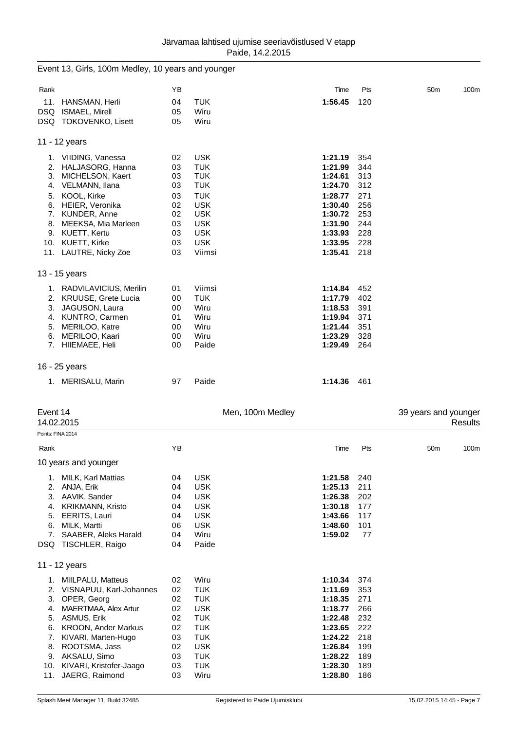|                   | Event 13, Girls, 100m Medley, 10 years and younger |    |            |                  |     |                      |         |
|-------------------|----------------------------------------------------|----|------------|------------------|-----|----------------------|---------|
| Rank              |                                                    | ΥB |            | Time             | Pts | 50 <sub>m</sub>      | 100m    |
|                   | 11. HANSMAN, Herli                                 | 04 | <b>TUK</b> | 1:56.45          | 120 |                      |         |
|                   | DSQ ISMAEL, Mirell                                 | 05 | Wiru       |                  |     |                      |         |
|                   | DSQ TOKOVENKO, Lisett                              | 05 | Wiru       |                  |     |                      |         |
|                   | 11 - 12 years                                      |    |            |                  |     |                      |         |
|                   | 1. VIIDING, Vanessa                                | 02 | <b>USK</b> | 1:21.19          | 354 |                      |         |
|                   | 2. HALJASORG, Hanna                                | 03 | <b>TUK</b> | 1:21.99          | 344 |                      |         |
|                   | 3. MICHELSON, Kaert                                | 03 | <b>TUK</b> | 1:24.61          | 313 |                      |         |
|                   | 4. VELMANN, Ilana                                  | 03 | <b>TUK</b> | 1:24.70          | 312 |                      |         |
| 5.                | KOOL, Kirke                                        | 03 | <b>TUK</b> | 1:28.77          | 271 |                      |         |
|                   | 6. HEIER, Veronika                                 | 02 | <b>USK</b> | 1:30.40          | 256 |                      |         |
|                   | 7. KUNDER, Anne                                    | 02 | <b>USK</b> | 1:30.72          | 253 |                      |         |
|                   | 8. MEEKSA, Mia Marleen                             | 03 | <b>USK</b> | 1:31.90          | 244 |                      |         |
|                   | 9. KUETT, Kertu                                    | 03 | <b>USK</b> | 1:33.93          | 228 |                      |         |
|                   | 10. KUETT, Kirke                                   | 03 | <b>USK</b> | 1:33.95          | 228 |                      |         |
|                   | 11. LAUTRE, Nicky Zoe                              | 03 | Viimsi     | 1:35.41          | 218 |                      |         |
|                   | 13 - 15 years                                      |    |            |                  |     |                      |         |
|                   | 1. RADVILAVICIUS, Merilin                          | 01 | Viimsi     | 1:14.84          | 452 |                      |         |
|                   | 2. KRUUSE, Grete Lucia                             | 00 | <b>TUK</b> | 1:17.79          | 402 |                      |         |
| 3.                | JAGUSON, Laura                                     | 00 | Wiru       | 1:18.53          | 391 |                      |         |
|                   | 4. KUNTRO, Carmen                                  | 01 | Wiru       | 1:19.94          | 371 |                      |         |
| 5.                | MERILOO, Katre                                     | 00 | Wiru       | 1:21.44          | 351 |                      |         |
| 6.                | MERILOO, Kaari                                     | 00 | Wiru       | 1:23.29          | 328 |                      |         |
|                   | 7. HIIEMAEE, Heli                                  | 00 | Paide      | 1:29.49          | 264 |                      |         |
|                   | 16 - 25 years                                      |    |            |                  |     |                      |         |
|                   | 1. MERISALU, Marin                                 | 97 | Paide      | 1:14.36          | 461 |                      |         |
|                   |                                                    |    |            |                  |     |                      |         |
| Event 14          | 14.02.2015                                         |    |            | Men, 100m Medley |     | 39 years and younger | Results |
| Points: FINA 2014 |                                                    |    |            |                  |     |                      |         |
| Rank              |                                                    | ΥB |            | Time             | Pts | 50 <sub>m</sub>      | 100m    |
|                   | 10 years and younger                               |    |            |                  |     |                      |         |
| 1.                | MILK, Karl Mattias                                 | 04 | <b>USK</b> | 1:21.58          | 240 |                      |         |
| 2.                | ANJA, Erik                                         | 04 | <b>USK</b> | 1:25.13          | 211 |                      |         |
|                   | 3. AAVIK, Sander                                   | 04 | <b>USK</b> | 1:26.38          | 202 |                      |         |
| 4.                | <b>KRIKMANN, Kristo</b>                            | 04 | <b>USK</b> | 1:30.18          | 177 |                      |         |
|                   | 5. EERITS, Lauri                                   | 04 | <b>USK</b> | 1:43.66          | 117 |                      |         |
| 6.                | MILK, Martti                                       | 06 | <b>USK</b> | 1:48.60          | 101 |                      |         |
|                   | 7. SAABER, Aleks Harald                            | 04 | Wiru       | 1:59.02          | 77  |                      |         |
|                   | DSQ TISCHLER, Raigo                                | 04 | Paide      |                  |     |                      |         |
|                   | 11 - 12 years                                      |    |            |                  |     |                      |         |
|                   | 1. MIILPALU, Matteus                               | 02 | Wiru       | 1:10.34          | 374 |                      |         |
|                   | 2. VISNAPUU, Karl-Johannes                         | 02 | <b>TUK</b> | 1:11.69          | 353 |                      |         |
|                   | 3. OPER, Georg                                     | 02 | <b>TUK</b> | 1:18.35          | 271 |                      |         |
|                   | 4. MAERTMAA, Alex Artur                            | 02 | <b>USK</b> | 1:18.77          | 266 |                      |         |
|                   | 5. ASMUS, Erik                                     | 02 | <b>TUK</b> | 1:22.48          | 232 |                      |         |
| 6.                | <b>KROON, Ander Markus</b>                         | 02 | <b>TUK</b> | 1:23.65          | 222 |                      |         |
| 7.                | KIVARI, Marten-Hugo                                | 03 | <b>TUK</b> | 1:24.22          | 218 |                      |         |
| 8.                | ROOTSMA, Jass                                      | 02 | <b>USK</b> | 1:26.84          | 199 |                      |         |
|                   | 9. AKSALU, Simo                                    | 03 | <b>TUK</b> | 1:28.22          | 189 |                      |         |
|                   | 10. KIVARI, Kristofer-Jaago                        | 03 | <b>TUK</b> | 1:28.30          | 189 |                      |         |
|                   | 11. JAERG, Raimond                                 | 03 | Wiru       | 1:28.80          | 186 |                      |         |